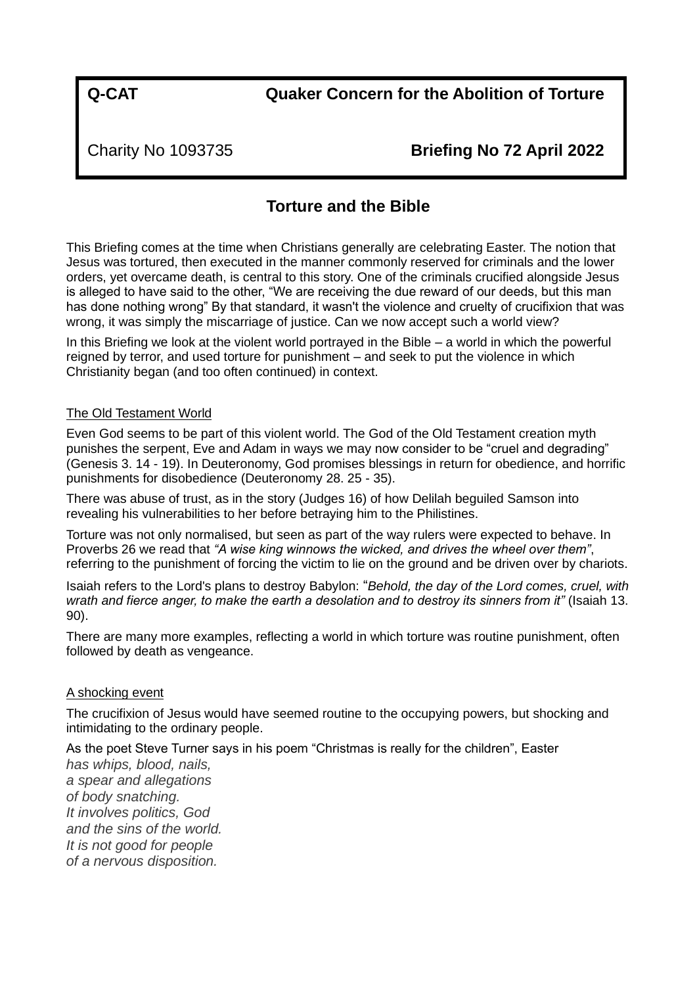**Q-CAT Quaker Concern for the Abolition of Torture**

Charity No 1093735 **Briefing No 72 April 2022**

# **Torture and the Bible**

This Briefing comes at the time when Christians generally are celebrating Easter. The notion that Jesus was tortured, then executed in the manner commonly reserved for criminals and the lower orders, yet overcame death, is central to this story. One of the criminals crucified alongside Jesus is alleged to have said to the other, "We are receiving the due reward of our deeds, but this man has done nothing wrong" By that standard, it wasn't the violence and cruelty of crucifixion that was wrong, it was simply the miscarriage of justice. Can we now accept such a world view?

In this Briefing we look at the violent world portrayed in the Bible – a world in which the powerful reigned by terror, and used torture for punishment – and seek to put the violence in which Christianity began (and too often continued) in context.

#### The Old Testament World

Even God seems to be part of this violent world. The God of the Old Testament creation myth punishes the serpent, Eve and Adam in ways we may now consider to be "cruel and degrading" (Genesis 3. 14 - 19). In Deuteronomy, God promises blessings in return for obedience, and horrific punishments for disobedience (Deuteronomy 28. 25 - 35).

There was abuse of trust, as in the story (Judges 16) of how Delilah beguiled Samson into revealing his vulnerabilities to her before betraying him to the Philistines.

Torture was not only normalised, but seen as part of the way rulers were expected to behave. In Proverbs 26 we read that *"A wise king winnows the wicked, and drives the wheel over them"*, referring to the punishment of forcing the victim to lie on the ground and be driven over by chariots.

Isaiah refers to the Lord's plans to destroy Babylon: "*Behold, the day of the Lord comes, cruel, with wrath and fierce anger, to make the earth a desolation and to destroy its sinners from it"* (Isaiah 13. 90).

There are many more examples, reflecting a world in which torture was routine punishment, often followed by death as vengeance.

### A shocking event

The crucifixion of Jesus would have seemed routine to the occupying powers, but shocking and intimidating to the ordinary people.

As the poet Steve Turner says in his poem "Christmas is really for the children", Easter

*has whips, blood, nails, a spear and allegations of body snatching. It involves politics, God and the sins of the world. It is not good for people of a nervous disposition.*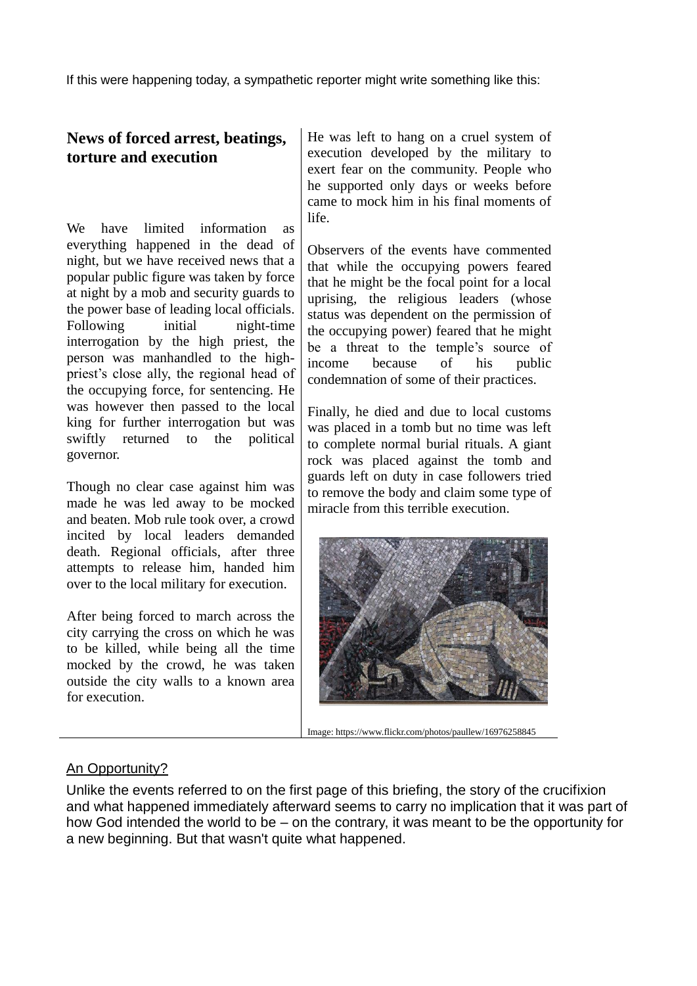## **News of forced arrest, beatings, torture and execution**

We have limited information as everything happened in the dead of night, but we have received news that a popular public figure was taken by force at night by a mob and security guards to the power base of leading local officials. Following initial night-time interrogation by the high priest, the person was manhandled to the highpriest's close ally, the regional head of the occupying force, for sentencing. He was however then passed to the local king for further interrogation but was swiftly returned to the political governor.

Though no clear case against him was made he was led away to be mocked and beaten. Mob rule took over, a crowd incited by local leaders demanded death. Regional officials, after three attempts to release him, handed him over to the local military for execution.

After being forced to march across the city carrying the cross on which he was to be killed, while being all the time mocked by the crowd, he was taken outside the city walls to a known area for execution.

He was left to hang on a cruel system of execution developed by the military to exert fear on the community. People who he supported only days or weeks before came to mock him in his final moments of life.

Observers of the events have commented that while the occupying powers feared that he might be the focal point for a local uprising, the religious leaders (whose status was dependent on the permission of the occupying power) feared that he might be a threat to the temple's source of income because of his public condemnation of some of their practices.

Finally, he died and due to local customs was placed in a tomb but no time was left to complete normal burial rituals. A giant rock was placed against the tomb and guards left on duty in case followers tried to remove the body and claim some type of miracle from this terrible execution.



Image: https://www.flickr.com/photos/paullew/16976258845

### An Opportunity?

Unlike the events referred to on the first page of this briefing, the story of the crucifixion and what happened immediately afterward seems to carry no implication that it was part of how God intended the world to be – on the contrary, it was meant to be the opportunity for a new beginning. But that wasn't quite what happened.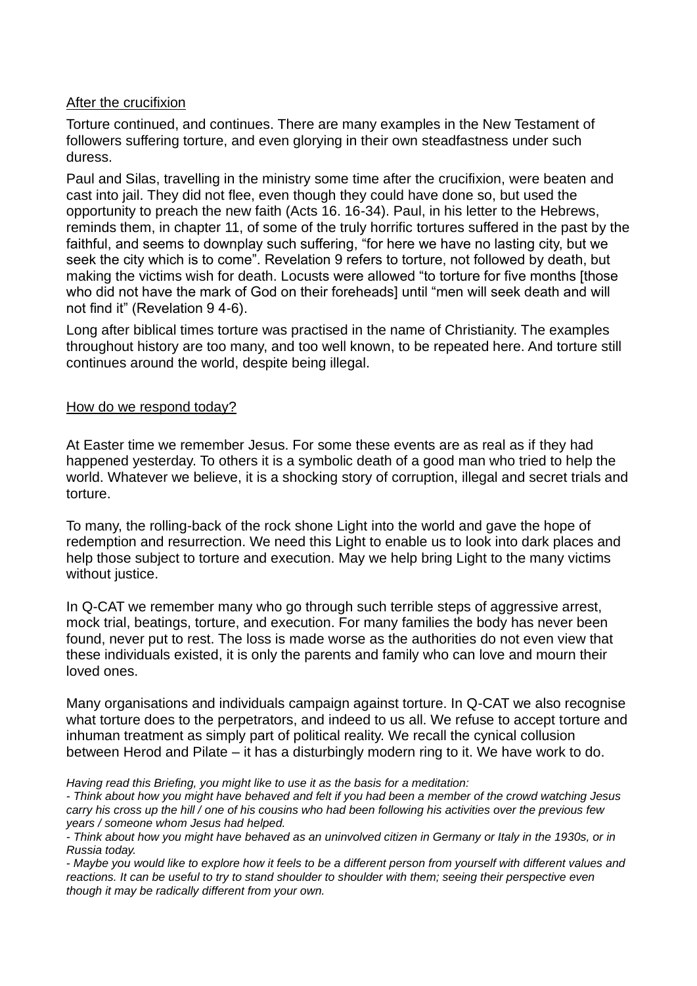### After the crucifixion

Torture continued, and continues. There are many examples in the New Testament of followers suffering torture, and even glorying in their own steadfastness under such duress.

Paul and Silas, travelling in the ministry some time after the crucifixion, were beaten and cast into jail. They did not flee, even though they could have done so, but used the opportunity to preach the new faith (Acts 16. 16-34). Paul, in his letter to the Hebrews, reminds them, in chapter 11, of some of the truly horrific tortures suffered in the past by the faithful, and seems to downplay such suffering, "for here we have no lasting city, but we seek the city which is to come". Revelation 9 refers to torture, not followed by death, but making the victims wish for death. Locusts were allowed "to torture for five months [those who did not have the mark of God on their foreheads] until "men will seek death and will not find it" (Revelation 9 4-6).

Long after biblical times torture was practised in the name of Christianity. The examples throughout history are too many, and too well known, to be repeated here. And torture still continues around the world, despite being illegal.

### How do we respond today?

At Easter time we remember Jesus. For some these events are as real as if they had happened yesterday. To others it is a symbolic death of a good man who tried to help the world. Whatever we believe, it is a shocking story of corruption, illegal and secret trials and torture.

To many, the rolling-back of the rock shone Light into the world and gave the hope of redemption and resurrection. We need this Light to enable us to look into dark places and help those subject to torture and execution. May we help bring Light to the many victims without justice.

In Q-CAT we remember many who go through such terrible steps of aggressive arrest, mock trial, beatings, torture, and execution. For many families the body has never been found, never put to rest. The loss is made worse as the authorities do not even view that these individuals existed, it is only the parents and family who can love and mourn their loved ones.

Many organisations and individuals campaign against torture. In Q-CAT we also recognise what torture does to the perpetrators, and indeed to us all. We refuse to accept torture and inhuman treatment as simply part of political reality. We recall the cynical collusion between Herod and Pilate – it has a disturbingly modern ring to it. We have work to do.

*- Think about how you might have behaved and felt if you had been a member of the crowd watching Jesus carry his cross up the hill / one of his cousins who had been following his activities over the previous few years / someone whom Jesus had helped.* 

*Having read this Briefing, you might like to use it as the basis for a meditation:*

*<sup>-</sup> Think about how you might have behaved as an uninvolved citizen in Germany or Italy in the 1930s, or in Russia today.* 

*<sup>-</sup> Maybe you would like to explore how it feels to be a different person from yourself with different values and reactions. It can be useful to try to stand shoulder to shoulder with them; seeing their perspective even though it may be radically different from your own.*